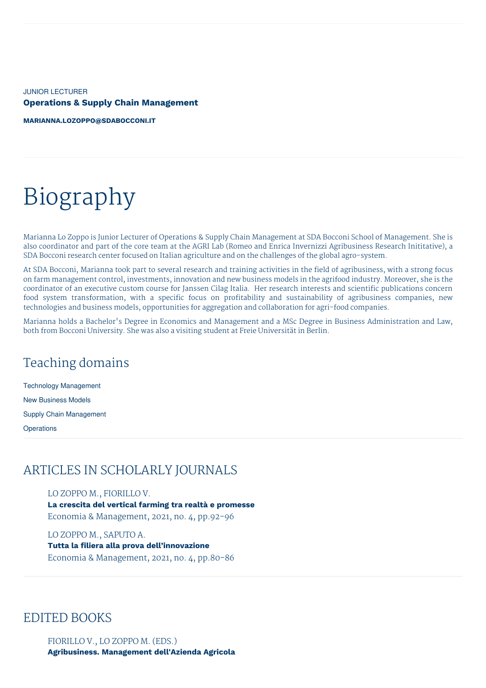JUNIOR LECTURER **Operations & Supply Chain Management**

**[MARIANNA.LOZOPPO@SDABOCCONI.IT](mailto:marianna.lozoppo@sdabocconi.it)**

# Biography

Marianna Lo Zoppo is Junior Lecturer of Operations & Supply Chain Management at SDA Bocconi School of Management. She is also coordinator and part of the core team at the AGRI Lab (Romeo and Enrica Invernizzi Agribusiness Research Inititative), a SDA Bocconi research center focused on Italian agriculture and on the challenges of the global agro-system.

At SDA Bocconi, Marianna took part to several research and training activities in the field of agribusiness, with a strong focus on farm management control, investments, innovation and new business models in the agrifood industry. Moreover, she is the coordinator of an executive custom course for Janssen Cilag Italia. Her research interests and scientific publications concern food system transformation, with a specific focus on profitability and sustainability of agribusiness companies, new technologies and business models, opportunities for aggregation and collaboration for agri-food companies.

Marianna holds a Bachelor's Degree in Economics and Management and a MSc Degree in Business Administration and Law, both from Bocconi University. She was also a visiting student at Freie Universität in Berlin.

## Teaching domains

Technology Management New Business Models Supply Chain Management

**Operations** 

## ARTICLES IN SCHOLARLY JOURNALS

LO ZOPPO M., FIORILLO V.

**La crescita del vertical farming tra realtà e promesse** Economia & Management, 2021, no. 4, pp.92-96

LO ZOPPO M., SAPUTO A. **Tutta la filiera alla prova dell'innovazione** Economia & Management, 2021, no. 4, pp.80-86

### EDITED BOOKS

FIORILLO V., LO ZOPPO M. (EDS.) **Agribusiness. Management dell'Azienda Agricola**